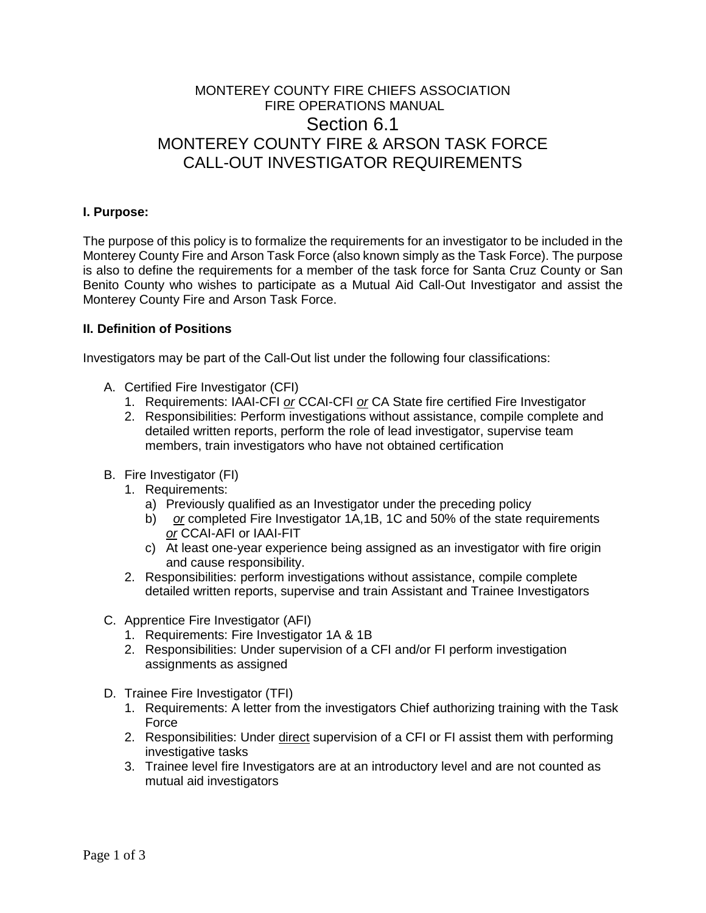# MONTEREY COUNTY FIRE CHIEFS ASSOCIATION FIRE OPERATIONS MANUAL Section 6.1 MONTEREY COUNTY FIRE & ARSON TASK FORCE CALL-OUT INVESTIGATOR REQUIREMENTS

# **I. Purpose:**

The purpose of this policy is to formalize the requirements for an investigator to be included in the Monterey County Fire and Arson Task Force (also known simply as the Task Force). The purpose is also to define the requirements for a member of the task force for Santa Cruz County or San Benito County who wishes to participate as a Mutual Aid Call-Out Investigator and assist the Monterey County Fire and Arson Task Force.

#### **II. Definition of Positions**

Investigators may be part of the Call-Out list under the following four classifications:

- A. Certified Fire Investigator (CFI)
	- 1. Requirements: IAAI-CFI *or* CCAI-CFI *or* CA State fire certified Fire Investigator
	- 2. Responsibilities: Perform investigations without assistance, compile complete and detailed written reports, perform the role of lead investigator, supervise team members, train investigators who have not obtained certification
- B. Fire Investigator (FI)
	- 1. Requirements:
		- a) Previously qualified as an Investigator under the preceding policy
		- b) *or* completed Fire Investigator 1A,1B, 1C and 50% of the state requirements *or* CCAI-AFI or IAAI-FIT
		- c) At least one-year experience being assigned as an investigator with fire origin and cause responsibility.
	- 2. Responsibilities: perform investigations without assistance, compile complete detailed written reports, supervise and train Assistant and Trainee Investigators
- C. Apprentice Fire Investigator (AFI)
	- 1. Requirements: Fire Investigator 1A & 1B
	- 2. Responsibilities: Under supervision of a CFI and/or FI perform investigation assignments as assigned
- D. Trainee Fire Investigator (TFI)
	- 1. Requirements: A letter from the investigators Chief authorizing training with the Task Force
	- 2. Responsibilities: Under direct supervision of a CFI or FI assist them with performing investigative tasks
	- 3. Trainee level fire Investigators are at an introductory level and are not counted as mutual aid investigators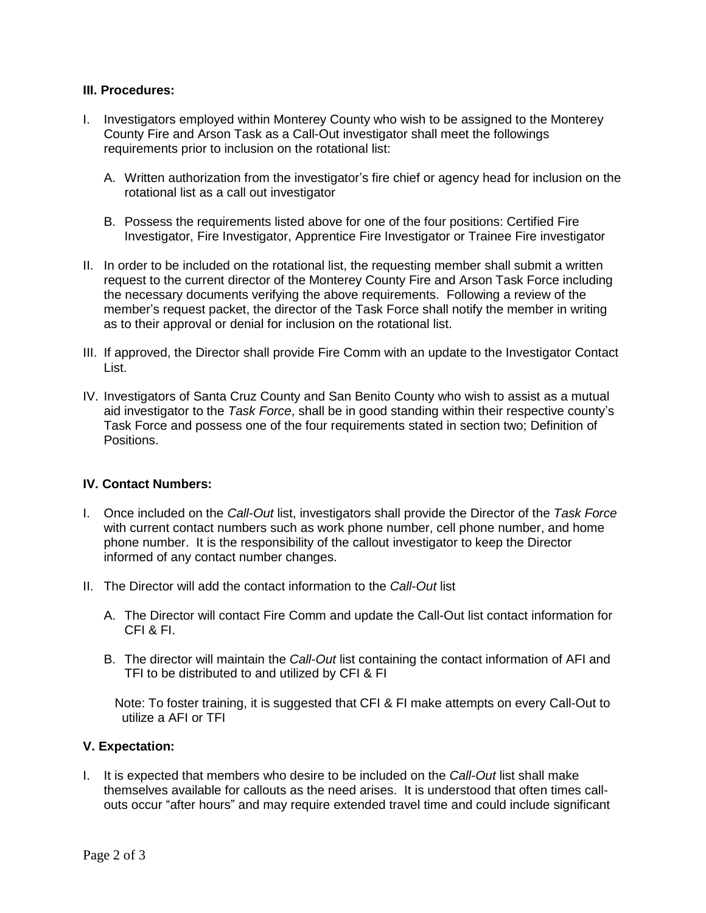## **III. Procedures:**

- I. Investigators employed within Monterey County who wish to be assigned to the Monterey County Fire and Arson Task as a Call-Out investigator shall meet the followings requirements prior to inclusion on the rotational list:
	- A. Written authorization from the investigator's fire chief or agency head for inclusion on the rotational list as a call out investigator
	- B. Possess the requirements listed above for one of the four positions: Certified Fire Investigator, Fire Investigator, Apprentice Fire Investigator or Trainee Fire investigator
- II. In order to be included on the rotational list, the requesting member shall submit a written request to the current director of the Monterey County Fire and Arson Task Force including the necessary documents verifying the above requirements. Following a review of the member's request packet, the director of the Task Force shall notify the member in writing as to their approval or denial for inclusion on the rotational list.
- III. If approved, the Director shall provide Fire Comm with an update to the Investigator Contact List.
- IV. Investigators of Santa Cruz County and San Benito County who wish to assist as a mutual aid investigator to the *Task Force*, shall be in good standing within their respective county's Task Force and possess one of the four requirements stated in section two; Definition of Positions.

## **IV. Contact Numbers:**

- I. Once included on the *Call-Out* list, investigators shall provide the Director of the *Task Force* with current contact numbers such as work phone number, cell phone number, and home phone number. It is the responsibility of the callout investigator to keep the Director informed of any contact number changes.
- II. The Director will add the contact information to the *Call-Out* list
	- A. The Director will contact Fire Comm and update the Call-Out list contact information for CFI & FI.
	- B. The director will maintain the *Call-Out* list containing the contact information of AFI and TFI to be distributed to and utilized by CFI & FI

 Note: To foster training, it is suggested that CFI & FI make attempts on every Call-Out to utilize a AFI or TFI

## **V. Expectation:**

I. It is expected that members who desire to be included on the *Call-Out* list shall make themselves available for callouts as the need arises. It is understood that often times callouts occur "after hours" and may require extended travel time and could include significant